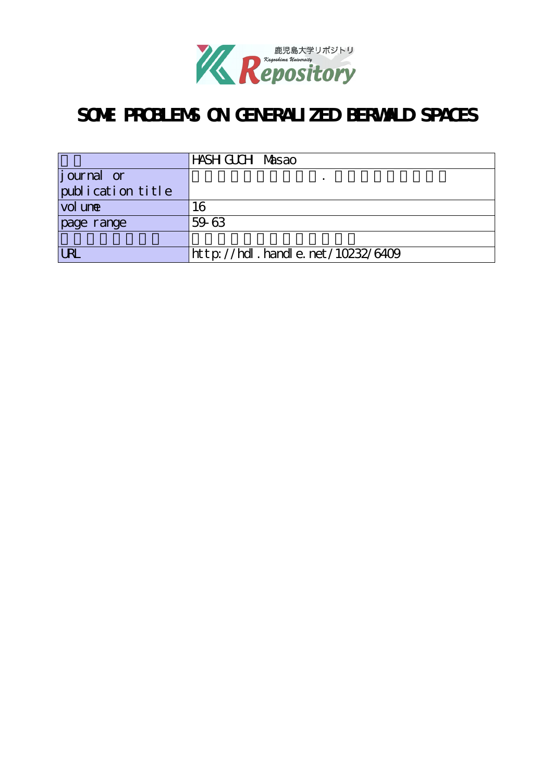

# **SOME PROBLEMS ON GENERALIZED BERWALD SPACES**

|                   | HASH GUCH Masao                  |
|-------------------|----------------------------------|
| $j$ ournal or     |                                  |
| publication title |                                  |
| vol une           | 16                               |
| page range        | 59-63                            |
|                   |                                  |
| <b>URL</b>        | http://hdl.handle.net/10232/6409 |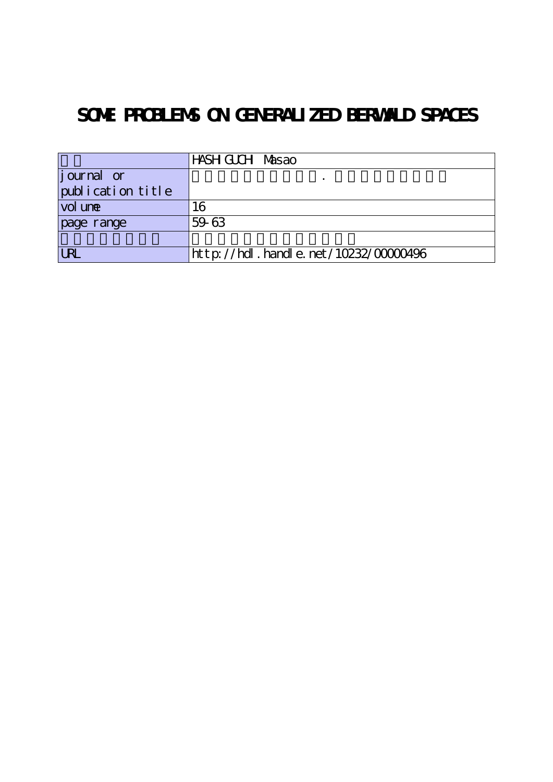# **SOME PROBLEMS ON GENERALIZED BERWALD SPACES**

|                    | HASH GUCH Masao                               |
|--------------------|-----------------------------------------------|
| <i>j</i> ournal or |                                               |
| publication title  |                                               |
| vol une            | 16                                            |
| page range         | 59-63                                         |
|                    |                                               |
| URL                | $ht$ t p: //hdl. handl e. net /10232/00000496 |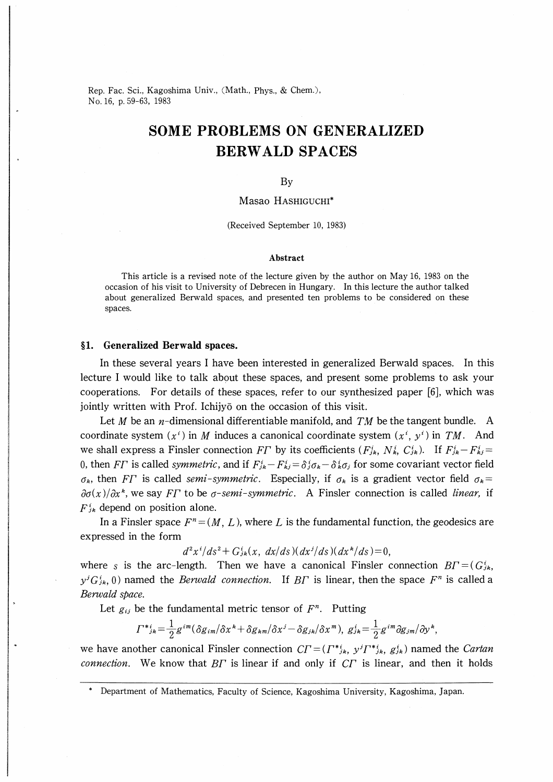Rep. Fac. Sci., Kagoshima Univ., (Math., Phys., & Chem.), No.16, p.59-63, 1983

# SOME PROBLEMS ON GENERALIZED BERWALD SPACES

#### By

#### Masao HASHIGUCHI\*

(Received September 10, 1983)

#### Abstract

This article is a revised note of the lecture given by the author on May 16, 1983 on the occasion of his visit to University of Debrecen in Hungary. In this lecture the author talked about generalized Berwald spaces, and presented ten problems to be considered on these spaces.

### §1. Generalized Berwald spaces.

In these several years I have been interested in generalized Berwald spaces. In this lecture I would like to talk about these spaces, and present some problems to ask your cooperations. For details of these spaces, refer to our synthesized paper  $[6]$ , which was jointly written with Prof. Ichijyo on the occasion of this visit.

Let M be an  $\eta$ -dimensional differentiable manifold, and TM be the tangent bundle. A coordinate system  $(x^i)$  in M induces a canonical coordinate system  $(x^i, y^i)$  in TM. And we shall express a Finsler connection FT by its coefficients  $(F_{jk}^i, N_k^i, C_{jk}^i)$ . If  $F_{jk}^i-F_{kj}^i$ 0, then FT is called symmetric, and if  $F_{jk}-F_{kj}=\delta_{j}\sigma_{k}-\delta_{k}\sigma_{j}$  for some covariant vector field  $\sigma_k$ , then FT is called semi-symmetric. Especially, if  $\sigma_k$  is a gradient vector field  $\sigma_k$ =  $\partial \sigma(x)/\partial x^k$ , we say FT to be  $\sigma$ -semi-symmetric. A Finsler connection is called *linear*, if  $F_{ik}^{i}$  depend on position alone.

In a Finsler space  $F^n=(M,L)$ , where L is the fundamental function, the geodesics are expressed in the form

 $d^2x^i/ds^2 + G_{jk}^i(x, dx/ds)(dx^j/ds)(dx^k/ds) = 0,$ 

where s is the arc-length. Then we have a canonical Finsler connection  $BT=(G_{ik}^i)$  $y^{j}G_{jk}^{i}$ , 0) named the *Berwald connection*. If B<sub>L</sub> is linear, then the space  $F^{n}$  is called a Berwald space.

Let  $g_{ij}$  be the fundamental metric tensor of  $F^n$ . Putting

$$
\Gamma^{\ast}{}_{j\bm{k}}^{\phantom{\ast}}\!=\!\tfrac{1}{2}g^{im}(\delta g_{im}/\delta x^{\bm{k}}\!+\!\delta g_{\bm{k}m}/\delta x^j\!-\!\delta g_{jk}/\delta x^m),\;g^{i}_{jk}\!=\!\tfrac{1}{2}g^{im}\partial g_{jm}/\partial y^{\bm{k}},
$$

we have another canonical Finsler connection  $CT=(\Gamma^*_{jk},y^j\Gamma^*_{jk},g_{jk}^i)$  named the Cartan connection. We know that  $BT$  is linear if and only if  $CT$  is linear, and then it holds

Department of Mathematics, Faculty of Science, Kagoshima University, Kagoshima, Japan.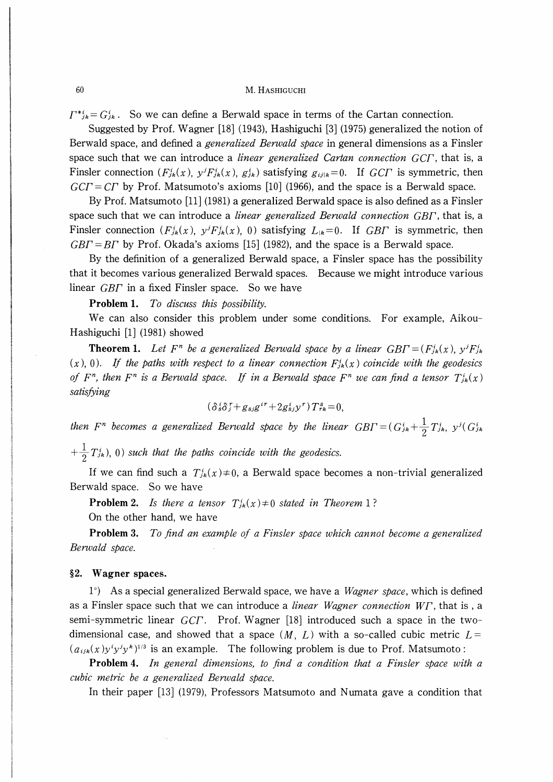$\Gamma^{*i}_{jk}= G^i_{jk}$ . So we can define a Berwald space in terms of the Cartan connection.

Suggested by Prof. Wagner [18] (1943), Hashiguchi [3] (1975) generalized the notion of Berwald space, and defined a *generalized Berwald space* in general dimensions as a Finsler space such that we can introduce a *linear generalized Cartan connection GCF*, that is, a Finsler connection  $(F_{jk}(x), y^j F_{jk}(x), g_{jk}^i)$  satisfying  $g_{ijk}=0$ . If GCT is symmetric, then  $GCT = CT$  by Prof. Matsumoto's axioms [10] (1966), and the space is a Berwald space.

By Prof. Matsumoto  $[11]$  (1981) a generalized Berwald space is also defined as a Finsler space such that we can introduce a *linear generalized Berwald connection GBF*, that is, a Finsler connection  $(F_{jk}(x), y^j F_{jk}(x), 0)$  satisfying  $L_{jk}=0$ . If GBT is symmetric, then  $GBT = BT$  by Prof. Okada's axioms [15] (1982), and the space is a Berwald space.

By the definition of a generalized Berwald space, a Finsler space has the possibility that it becomes various generalized Berwald spaces. Because we might introduce various linear  $GB\Gamma$  in a fixed Finsler space. So we have

Problem 1. To discuss this possibility.

We can also consider this problem under some conditions. For example, Aikou-Hashiguchi [1] (1981) showed

**Theorem 1.** Let F<sup>n</sup> be a generalized Berwald space by a linear  $GB\Gamma = (F_{jk}(x), y^jF_{jk}^i)$  $(x)$ , 0). If the paths with respect to a linear connection  $F_{jk}(x)$  coincide with the geodesics of  $F<sup>n</sup>$ , then  $F<sup>n</sup>$  is a Berwald space. If in a Berwald space  $F<sup>n</sup>$  we can find a tensor  $T<sup>i</sup><sub>jk</sub>(x)$ satisfying

$$
(\delta s \delta f + g_{sj}g^{ir} + 2g_{sj}^{i}y^{r})T_{rk}^{s} = 0,
$$

then  $F^n$  becomes a generalized Berwald space by the linear  $GB\Gamma = (G_{jk}^i + \frac{1}{2}T_{jk}^i, y^j(G_{jk}^i))$ 

 $+\frac{1}{2}T_{jk}^{i}$ , 0) such that the paths coincide with the geodesics.

If we can find such a  $T_{ik}(x) \neq 0$ , a Berwald space becomes a non-trivial generalized Berwald space. So we have

**Problem 2.** Is there a tensor  $T_{ik}^{i}(x) \neq 0$  stated in Theorem 1?

On the other hand, we have

**Problem 3.** To find an example of a Finsler space which cannot become a generalized Berwald space.

### §2. Wagner spaces.

 $1^{\circ}$  As a special generalized Berwald space, we have a *Wagner space*, which is defined as a Finsler space such that we can introduce a *linear Wagner connection W<sub>I</sub>*, that is, a semi-symmetric linear GCF. Prof. Wagner [18] introduced such a space in the twodimensional case, and showed that a space  $(M, L)$  with a so-called cubic metric  $L =$  $(a_{ijk}(x)y^i y^j y^k)^{1/3}$  is an example. The following problem is due to Prof. Matsumoto:

Problem 4. In general dimensions, to find a condition that a Finsler space with a cubic metric be a generalized Berwald space.

In their paper [13] (1979), Professors Matsumoto and Numata gave a condition that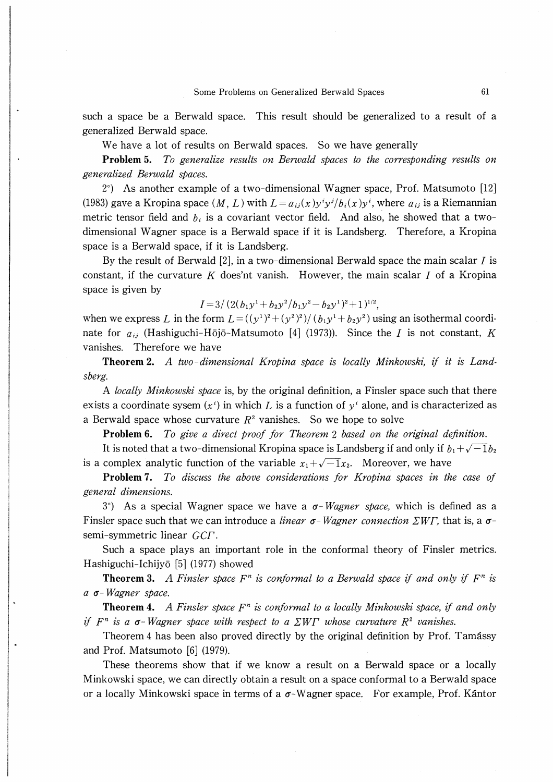such a space be a Berwald space. This result should be generalized to a result of a generalized Berwald space.

We have a lot of results on Berwald spaces. So we have generally

Problem 5. To generalize results on Berwald spaces to the corresponding results on generalized Berwald spaces.

 $2^{\circ}$ ) As another example of a two-dimensional Wagner space, Prof. Matsumoto [12] (1983) gave a Kropina space  $(M, L)$  with  $L = a_{ij}(x)y^i y^j/b_i(x)y^i$ , where  $a_{ij}$  is a Riemannian metric tensor field and  $b_i$  is a covariant vector field. And also, he showed that a twodimensional Wagner space is a Berwald space if it is Landsberg. Therefore, a Kropina space is a Berwald space, if it is Landsberg.

By the result of Berwald  $[2]$ , in a two-dimensional Berwald space the main scalar *I* is constant, if the curvature K does'nt vanish. However, the main scalar I of a Kropina space is given by

 $I=3/(2(b_1y^1+b_2y^2/b_1y^2-b_2y^1)^2+1)^{1/2}$ ,

when we express L in the form  $L = ((y<sup>1</sup>)<sup>2</sup> + (y<sup>2</sup>)<sup>2</sup>)/ (b<sub>1</sub>y<sup>1</sup> + b<sub>2</sub>y<sup>2</sup>)$  using an isothermal coordinate for  $a_{ij}$  (Hashiguchi-Hōjō-Matsumoto [4] (1973)). Since the *I* is not constant, K vanishes. Therefore we have

**Theorem 2.** A two-dimensional Kropina space is locally Minkowski, if it is Landsberg.

A locally Minkowski space is, by the original definition, a Finsler space such that there exists a coordinate sysem  $(x^i)$  in which L is a function of  $y^i$  alone, and is characterized as a Berwald space whose curvature  $R^2$  vanishes. So we hope to solve

Problem 6. To give a direct proof for Theorem 2 based on the original definition.

It is noted that a two-dimensional Kropina space is Landsberg if and only if  $b_1 + \sqrt{-1}b_2$ is a complex analytic function of the variable  $x_1+\sqrt{-1}x_2$ . Moreover, we have

**Problem 7.** To discuss the above considerations for Kropina spaces in the case of general dimensions.

 $3^{\circ}$ ) As a special Wagner space we have a  $\sigma$ -Wagner space, which is defined as a Finsler space such that we can introduce a *linear*  $\sigma$ -*Wagner connection*  $\sum W \Gamma$ , that is, a  $\sigma$ semi-symmetric linear GCF.

Such a space plays an important role in the conformal theory of Finsler metrics. Hashiguchi-Ichijyō [5] (1977) showed

**Theorem 3.** A Finsler space  $F^n$  is conformal to a Berwald space if and only if  $F^n$  is  $a$   $\sigma$ -Wagner space.

**Theorem 4.** A Finsler space  $F<sup>n</sup>$  is conformal to a locally Minkowski space, if and only if  $F^n$  is a  $\sigma$ -Wagner space with respect to a  $\sum W\Gamma$  whose curvature  $R^2$  vanishes.

Theorem 4 has been also proved directly by the original definition by Prof. Tamassy and Prof. Matsumoto [6] (1979).

These theorems show that if we know a result on a Berwald space or a locally Minkowski space, we can directly obtain a result on a space conformal to a Berwald space or a locally Minkowski space in terms of a  $\sigma$ -Wagner space. For example, Prof. Kantor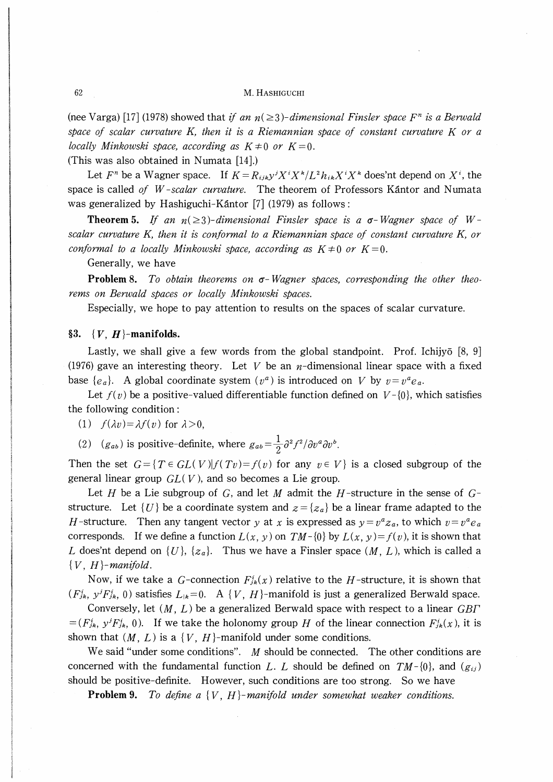#### 62 M. HASHIGUCHI

(nee Varga) [17] (1978) showed that if an  $n(\geq 3)$ -dimensional Finsler space  $F<sup>n</sup>$  is a Berwald space of scalar curvature K, then it is a Riemannian space of constant curvature  $K$  or a locally Minkowski space, according as  $K \neq 0$  or  $K=0$ .

(This was also obtained in Numata

Let  $F^n$  be a Wagner space. If  $K=R_{ijk}y^jX^iX^k/L^2h_{ik}X^iX^k$  does'nt depend on  $X^i$ , the space is called of  $W$ -scalar curvature. The theorem of Professors Kantor and Numata was generalized by Hashiguchi-Kantor [7] (1979) as follows:

**Theorem 5.** If an  $n(\geq 3)$ -dimensional Finsler space is a  $\sigma$ -Wagner space of Wscalar curvature K, then it is conformal to a Riemannian space of constant curvature K, or conformal to a locally Minkowski space, according as  $K \neq 0$  or  $K=0$ .

Generally, we have

**Problem 8.** To obtain theorems on  $\sigma$ -Wagner spaces, corresponding the other theorems on Berwald spaces or locally Minkowski spaces.

Especially, we hope to pay attention to results on the spaces of scalar curvature.

### §3.  $\{V, H\}$ -manifolds.

Lastly, we shall give a few words from the global standpoint. Prof. Ichijyo [8, 9] (1976) gave an interesting theory. Let V be an  $n$ -dimensional linear space with a fixed base  $\{e_a\}$ . A global coordinate system  $(v^a)$  is introduced on V by  $v=v^ae_a$ .

Let  $f(y)$  be a positive-valued differentiable function defined on  $V-\{0\}$ , which satisfies the following condition :

(1)  $f(\lambda v) = \lambda f(v)$  for  $\lambda > 0$ ,

(2) ( $g_{ab}$ ) is positive-definite, where  $g_{ab} = \frac{1}{2} \partial^2 f^2 / \partial v^a \partial v^b$ .

Then the set  $G = \{T \in GL(V)| f(Tv) = f(v) \text{ for any } v \in V\}$  is a closed subgroup of the general linear group  $GL(V)$ , and so becomes a Lie group.

Let H be a Lie subgroup of G, and let M admit the H-structure in the sense of  $G$ structure. Let  $\{U\}$  be a coordinate system and  $z = \{z_a\}$  be a linear frame adapted to the *H*-structure. Then any tangent vector y at x is expressed as  $y=v^a z_a$ , to which  $v=v^a e_a$ corresponds. If we define a function  $L(x, y)$  on  $TM-\{0\}$  by  $L(x, y)=f(y)$ , it is shown that L does'nt depend on  $\{U\}$ ,  $\{z_a\}$ . Thus we have a Finsler space  $(M, L)$ , which is called a  ${V, H}$ -manifold.

Now, if we take a G-connection  $F_{ik}(x)$  relative to the H-structure, it is shown that  $(F_{jk}^i, y^j F_{jk}^i, 0)$  satisfies  $L_{jk}=0$ . A  $\{V, H\}$ -manifold is just a generalized Berwald space.

Conversely, let  $(M, L)$  be a generalized Berwald space with respect to a linear  $GB\Gamma$  $=(F_{jk}^i, y^jF_{jk}^i, 0)$ . If we take the holonomy group H of the linear connection  $F_{jk}^i(x)$ , it is shown that  $(M, L)$  is a  $\{V, H\}$ -manifold under some conditions.

We said "under some conditions".  $M$  should be connected. The other conditions are concerned with the fundamental function L. L should be defined on  $TM-\{0\}$ , and  $(g_{ii})$ should be positive-definite. However, such conditions are too strong. So we have

**Problem 9.** To define a  $\{V, H\}$ -manifold under somewhat weaker conditions.